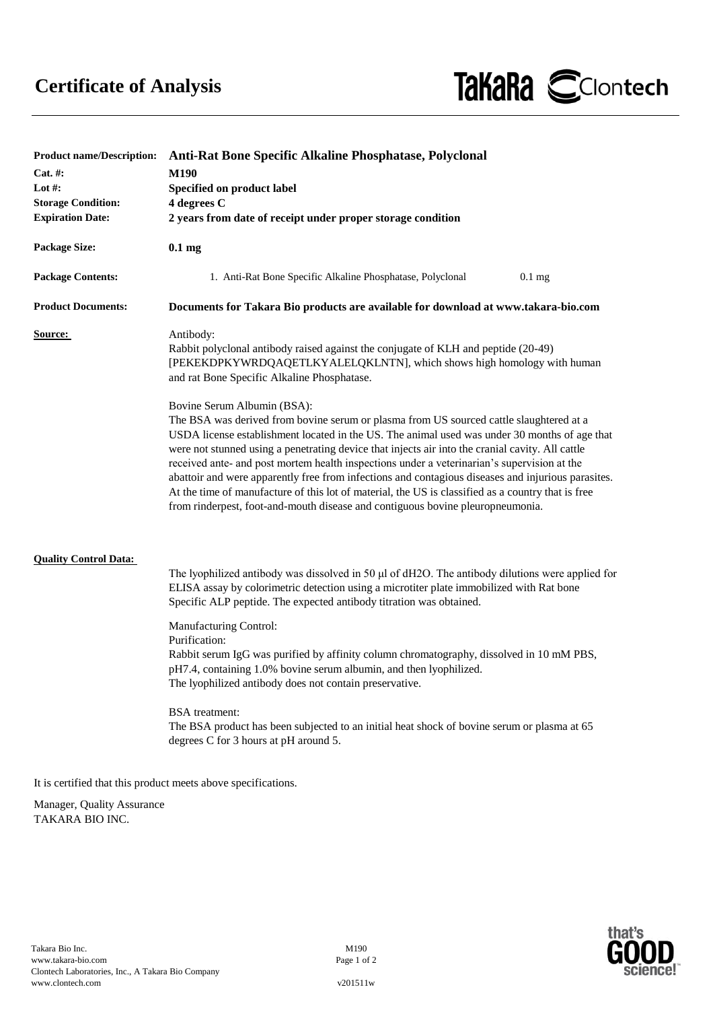

| <b>Product name/Description:</b> | Anti-Rat Bone Specific Alkaline Phosphatase, Polyclonal                                                                                                                                                                                                                                                                                                                                                                                                                                                                                                                                                                                                                                                                  |
|----------------------------------|--------------------------------------------------------------------------------------------------------------------------------------------------------------------------------------------------------------------------------------------------------------------------------------------------------------------------------------------------------------------------------------------------------------------------------------------------------------------------------------------------------------------------------------------------------------------------------------------------------------------------------------------------------------------------------------------------------------------------|
| $Cat. \#:$                       | M190                                                                                                                                                                                                                                                                                                                                                                                                                                                                                                                                                                                                                                                                                                                     |
| Lot #:                           | Specified on product label                                                                                                                                                                                                                                                                                                                                                                                                                                                                                                                                                                                                                                                                                               |
| <b>Storage Condition:</b>        | 4 degrees C                                                                                                                                                                                                                                                                                                                                                                                                                                                                                                                                                                                                                                                                                                              |
| <b>Expiration Date:</b>          | 2 years from date of receipt under proper storage condition                                                                                                                                                                                                                                                                                                                                                                                                                                                                                                                                                                                                                                                              |
| <b>Package Size:</b>             | $0.1 \text{ mg}$                                                                                                                                                                                                                                                                                                                                                                                                                                                                                                                                                                                                                                                                                                         |
| <b>Package Contents:</b>         | 1. Anti-Rat Bone Specific Alkaline Phosphatase, Polyclonal<br>$0.1$ mg                                                                                                                                                                                                                                                                                                                                                                                                                                                                                                                                                                                                                                                   |
| <b>Product Documents:</b>        | Documents for Takara Bio products are available for download at www.takara-bio.com                                                                                                                                                                                                                                                                                                                                                                                                                                                                                                                                                                                                                                       |
| <b>Source:</b>                   | Antibody:<br>Rabbit polyclonal antibody raised against the conjugate of KLH and peptide (20-49)<br>[PEKEKDPKYWRDQAQETLKYALELQKLNTN], which shows high homology with human<br>and rat Bone Specific Alkaline Phosphatase.                                                                                                                                                                                                                                                                                                                                                                                                                                                                                                 |
|                                  | Bovine Serum Albumin (BSA):<br>The BSA was derived from bovine serum or plasma from US sourced cattle slaughtered at a<br>USDA license establishment located in the US. The animal used was under 30 months of age that<br>were not stunned using a penetrating device that injects air into the cranial cavity. All cattle<br>received ante- and post mortem health inspections under a veterinarian's supervision at the<br>abattoir and were apparently free from infections and contagious diseases and injurious parasites.<br>At the time of manufacture of this lot of material, the US is classified as a country that is free<br>from rinderpest, foot-and-mouth disease and contiguous bovine pleuropneumonia. |
| <b>Quality Control Data:</b>     | The lyophilized antibody was dissolved in 50 µl of dH2O. The antibody dilutions were applied for<br>ELISA assay by colorimetric detection using a microtiter plate immobilized with Rat bone<br>Specific ALP peptide. The expected antibody titration was obtained.                                                                                                                                                                                                                                                                                                                                                                                                                                                      |
|                                  | Manufacturing Control:<br>Purification:<br>Rabbit serum IgG was purified by affinity column chromatography, dissolved in 10 mM PBS,<br>pH7.4, containing 1.0% bovine serum albumin, and then lyophilized.<br>The lyophilized antibody does not contain preservative.                                                                                                                                                                                                                                                                                                                                                                                                                                                     |
|                                  | <b>BSA</b> treatment:<br>The BSA product has been subjected to an initial heat shock of bovine serum or plasma at 65<br>degrees C for 3 hours at pH around 5.                                                                                                                                                                                                                                                                                                                                                                                                                                                                                                                                                            |
|                                  | It is certified that this product meets above specifications.                                                                                                                                                                                                                                                                                                                                                                                                                                                                                                                                                                                                                                                            |

Manager, Quality Assurance TAKARA BIO INC.